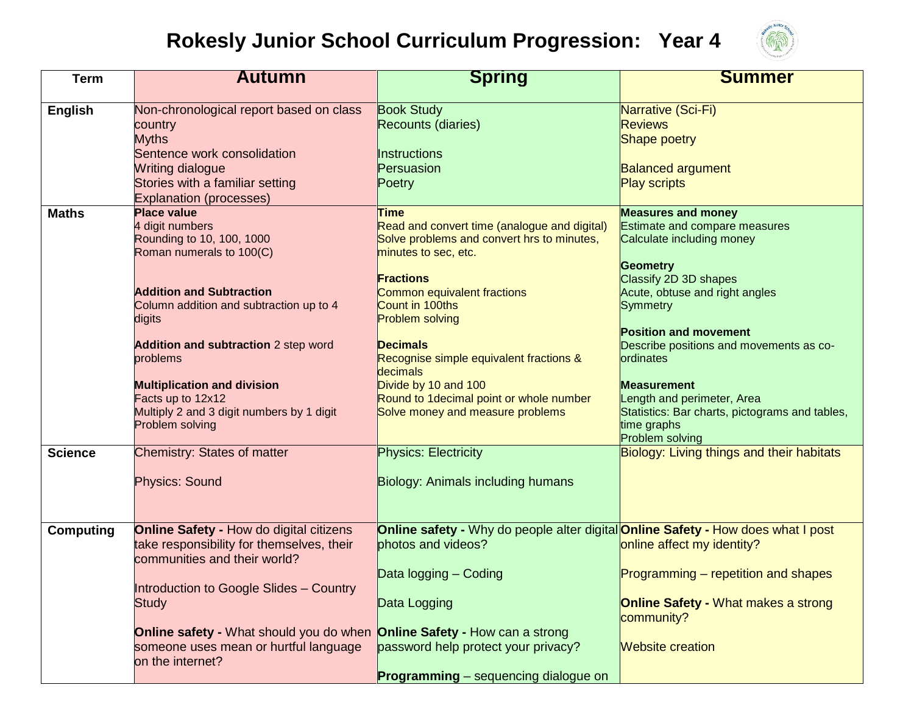## **Rokesly Junior School Curriculum Progression: Year 4**



| <b>Term</b>      | <b>Autumn</b>                                                                                                                                                                                                                                                                                                                                                                | <b>Spring</b>                                                                                                                                                                                                                                                                                                                                                                                                       | <b>Summer</b>                                                                                                                                                                                                                                                                                                                                                                                                            |
|------------------|------------------------------------------------------------------------------------------------------------------------------------------------------------------------------------------------------------------------------------------------------------------------------------------------------------------------------------------------------------------------------|---------------------------------------------------------------------------------------------------------------------------------------------------------------------------------------------------------------------------------------------------------------------------------------------------------------------------------------------------------------------------------------------------------------------|--------------------------------------------------------------------------------------------------------------------------------------------------------------------------------------------------------------------------------------------------------------------------------------------------------------------------------------------------------------------------------------------------------------------------|
| <b>English</b>   | Non-chronological report based on class<br>country<br><b>Myths</b><br>Sentence work consolidation<br><b>Writing dialogue</b><br>Stories with a familiar setting<br><b>Explanation (processes)</b>                                                                                                                                                                            | <b>Book Study</b><br>Recounts (diaries)<br><b>Instructions</b><br>Persuasion<br>Poetry                                                                                                                                                                                                                                                                                                                              | Narrative (Sci-Fi)<br><b>Reviews</b><br>Shape poetry<br><b>Balanced argument</b><br><b>Play scripts</b>                                                                                                                                                                                                                                                                                                                  |
| <b>Maths</b>     | <b>Place value</b><br>4 digit numbers<br>Rounding to 10, 100, 1000<br>Roman numerals to 100(C)<br><b>Addition and Subtraction</b><br>Column addition and subtraction up to 4<br>digits<br><b>Addition and subtraction</b> 2 step word<br>problems<br><b>Multiplication and division</b><br>Facts up to 12x12<br>Multiply 2 and 3 digit numbers by 1 digit<br>Problem solving | <b>Time</b><br>Read and convert time (analogue and digital)<br>Solve problems and convert hrs to minutes,<br>minutes to sec, etc.<br><b>Fractions</b><br>Common equivalent fractions<br>Count in 100ths<br><b>Problem solving</b><br><b>Decimals</b><br>Recognise simple equivalent fractions &<br>decimals<br>Divide by 10 and 100<br>Round to 1 decimal point or whole number<br>Solve money and measure problems | <b>Measures and money</b><br><b>Estimate and compare measures</b><br>Calculate including money<br><b>Geometry</b><br>Classify 2D 3D shapes<br>Acute, obtuse and right angles<br>Symmetry<br><b>Position and movement</b><br>Describe positions and movements as co-<br>ordinates<br><b>Measurement</b><br>Length and perimeter, Area<br>Statistics: Bar charts, pictograms and tables,<br>time graphs<br>Problem solving |
| <b>Science</b>   | Chemistry: States of matter<br><b>Physics: Sound</b>                                                                                                                                                                                                                                                                                                                         | <b>Physics: Electricity</b><br><b>Biology: Animals including humans</b>                                                                                                                                                                                                                                                                                                                                             | Biology: Living things and their habitats                                                                                                                                                                                                                                                                                                                                                                                |
| <b>Computing</b> | <b>Online Safety - How do digital citizens</b><br>take responsibility for themselves, their<br>communities and their world?<br>Introduction to Google Slides - Country<br><b>Study</b><br><b>Online safety -</b> What should you do when <b>Online Safety -</b> How can a strong<br>someone uses mean or hurtful language<br>on the internet?                                | <b>Online safety -</b> Why do people alter digital <b>Online Safety - How does what I post</b><br>photos and videos?<br>Data logging - Coding<br>Data Logging<br>password help protect your privacy?<br><b>Programming</b> – sequencing dialogue on                                                                                                                                                                 | online affect my identity?<br>Programming – repetition and shapes<br><b>Online Safety - What makes a strong</b><br>community?<br><b>Website creation</b>                                                                                                                                                                                                                                                                 |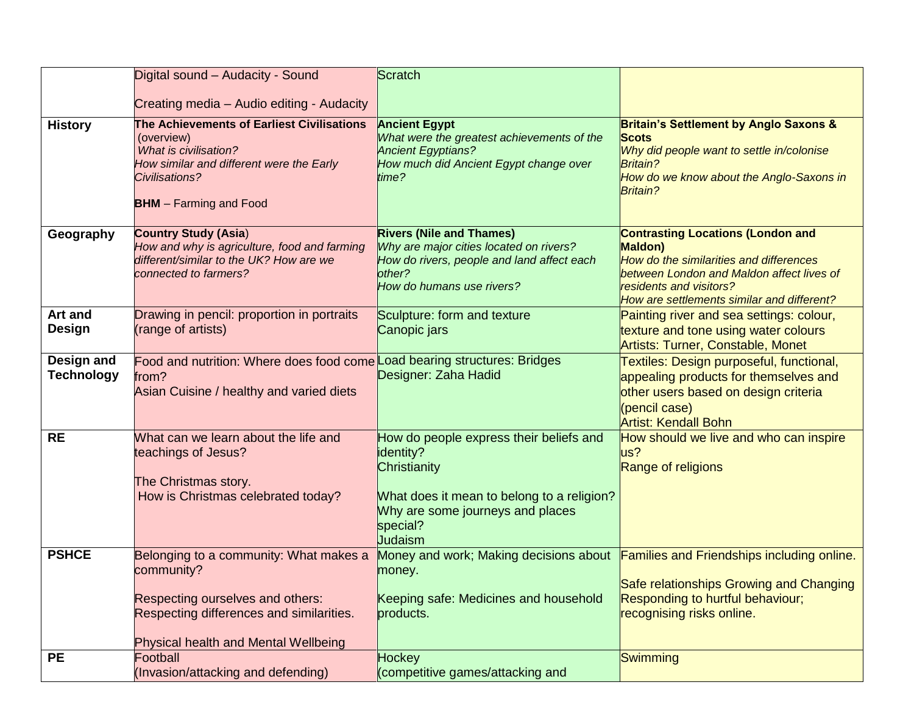|                                 | Digital sound - Audacity - Sound                                                                                                                                                 | Scratch                                                                                                                                                                       |                                                                                                                                                                                                                              |
|---------------------------------|----------------------------------------------------------------------------------------------------------------------------------------------------------------------------------|-------------------------------------------------------------------------------------------------------------------------------------------------------------------------------|------------------------------------------------------------------------------------------------------------------------------------------------------------------------------------------------------------------------------|
|                                 |                                                                                                                                                                                  |                                                                                                                                                                               |                                                                                                                                                                                                                              |
|                                 | Creating media - Audio editing - Audacity                                                                                                                                        |                                                                                                                                                                               |                                                                                                                                                                                                                              |
| <b>History</b>                  | The Achievements of Earliest Civilisations<br>(overview)<br>What is civilisation?<br>How similar and different were the Early<br>Civilisations?<br><b>BHM</b> - Farming and Food | <b>Ancient Egypt</b><br>What were the greatest achievements of the<br><b>Ancient Egyptians?</b><br>How much did Ancient Egypt change over<br>time?                            | <b>Britain's Settlement by Anglo Saxons &amp;</b><br><b>Scots</b><br>Why did people want to settle in/colonise<br><b>Britain?</b><br>How do we know about the Anglo-Saxons in<br><b>Britain?</b>                             |
| Geography                       | <b>Country Study (Asia)</b><br>How and why is agriculture, food and farming<br>different/similar to the UK? How are we<br>connected to farmers?                                  | <b>Rivers (Nile and Thames)</b><br>Why are major cities located on rivers?<br>How do rivers, people and land affect each<br>other?<br>How do humans use rivers?               | <b>Contrasting Locations (London and</b><br><b>Maldon</b> )<br>How do the similarities and differences<br>between London and Maldon affect lives of<br>residents and visitors?<br>How are settlements similar and different? |
| <b>Art and</b><br><b>Design</b> | Drawing in pencil: proportion in portraits<br>(range of artists)                                                                                                                 | Sculpture: form and texture<br>Canopic jars                                                                                                                                   | Painting river and sea settings: colour,<br>texture and tone using water colours<br><b>Artists: Turner, Constable, Monet</b>                                                                                                 |
| Design and<br><b>Technology</b> | Food and nutrition: Where does food come Load bearing structures: Bridges<br>from?<br>Asian Cuisine / healthy and varied diets                                                   | Designer: Zaha Hadid                                                                                                                                                          | Textiles: Design purposeful, functional,<br>appealing products for themselves and<br>other users based on design criteria<br>(pencil case)<br><b>Artist: Kendall Bohn</b>                                                    |
| <b>RE</b>                       | What can we learn about the life and<br>teachings of Jesus?<br>The Christmas story.<br>How is Christmas celebrated today?                                                        | How do people express their beliefs and<br>identity?<br>Christianity<br>What does it mean to belong to a religion?<br>Why are some journeys and places<br>special?<br>Judaism | How should we live and who can inspire<br>us?<br>Range of religions                                                                                                                                                          |
| <b>PSHCE</b>                    | Belonging to a community: What makes a<br>community?<br>Respecting ourselves and others:<br>Respecting differences and similarities.<br>Physical health and Mental Wellbeing     | Money and work; Making decisions about<br>money.<br>Keeping safe: Medicines and household<br>products.                                                                        | <b>Families and Friendships including online.</b><br>Safe relationships Growing and Changing<br>Responding to hurtful behaviour;<br>recognising risks online.                                                                |
| <b>PE</b>                       | Football<br>(Invasion/attacking and defending)                                                                                                                                   | <b>Hockey</b><br>(competitive games/attacking and                                                                                                                             | Swimming                                                                                                                                                                                                                     |